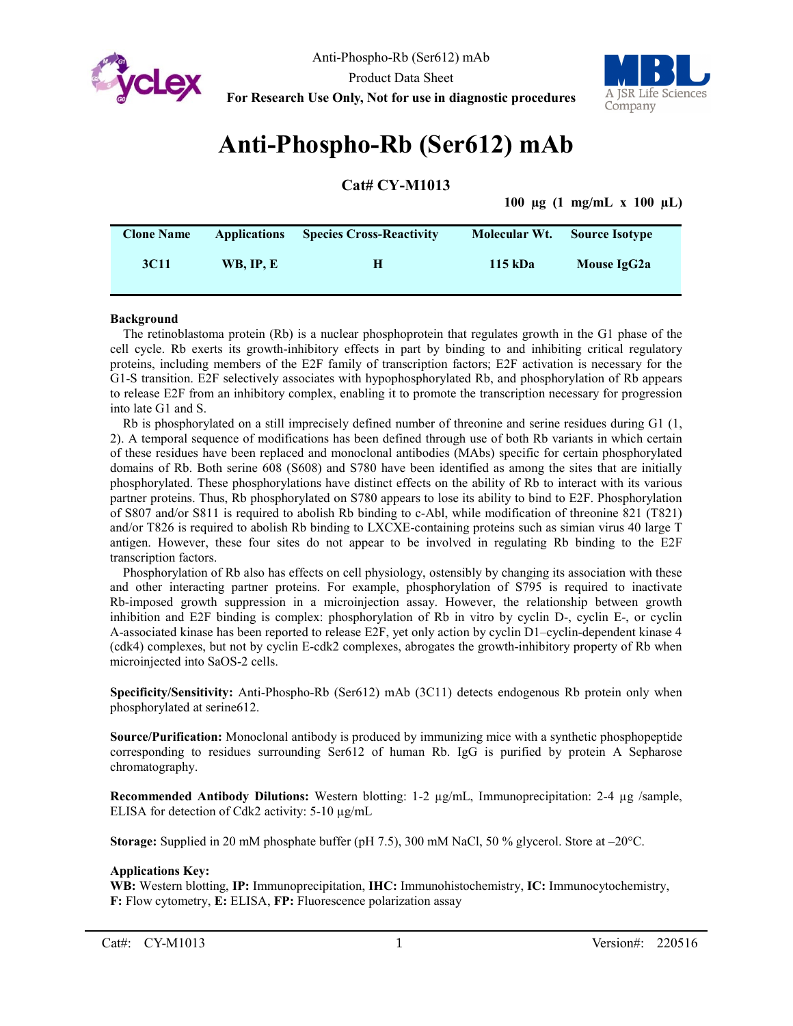



# **Anti-Phospho-Rb (Ser612) mAb**

**Cat# CY-M1013**

**100 µg (1 mg/mL x 100 µL)**

| <b>Clone Name</b> | <b>Applications</b> | <b>Species Cross-Reactivity</b> | Molecular Wt. | <b>Source Isotype</b> |  |
|-------------------|---------------------|---------------------------------|---------------|-----------------------|--|
| 3C <sub>11</sub>  | <b>WB. IP. E</b>    | н                               | 115 kDa       | Mouse IgG2a           |  |

#### **Background**

The retinoblastoma protein (Rb) is a nuclear phosphoprotein that regulates growth in the G1 phase of the cell cycle. Rb exerts its growth-inhibitory effects in part by binding to and inhibiting critical regulatory proteins, including members of the E2F family of transcription factors; E2F activation is necessary for the G1-S transition. E2F selectively associates with hypophosphorylated Rb, and phosphorylation of Rb appears to release E2F from an inhibitory complex, enabling it to promote the transcription necessary for progression into late G1 and S.

Rb is phosphorylated on a still imprecisely defined number of threonine and serine residues during G1 (1, 2). A temporal sequence of modifications has been defined through use of both Rb variants in which certain of these residues have been replaced and monoclonal antibodies (MAbs) specific for certain phosphorylated domains of Rb. Both serine 608 (S608) and S780 have been identified as among the sites that are initially phosphorylated. These phosphorylations have distinct effects on the ability of Rb to interact with its various partner proteins. Thus, Rb phosphorylated on S780 appears to lose its ability to bind to E2F. Phosphorylation of S807 and/or S811 is required to abolish Rb binding to c-Abl, while modification of threonine 821 (T821) and/or T826 is required to abolish Rb binding to LXCXE-containing proteins such as simian virus 40 large T antigen. However, these four sites do not appear to be involved in regulating Rb binding to the E2F transcription factors.

Phosphorylation of Rb also has effects on cell physiology, ostensibly by changing its association with these and other interacting partner proteins. For example, phosphorylation of S795 is required to inactivate Rb-imposed growth suppression in a microinjection assay. However, the relationship between growth inhibition and E2F binding is complex: phosphorylation of Rb in vitro by cyclin D-, cyclin E-, or cyclin A-associated kinase has been reported to release E2F, yet only action by cyclin D1–cyclin-dependent kinase 4 (cdk4) complexes, but not by cyclin E-cdk2 complexes, abrogates the growth-inhibitory property of Rb when microinjected into SaOS-2 cells.

**Specificity/Sensitivity:** Anti-Phospho-Rb (Ser612) mAb (3C11) detects endogenous Rb protein only when phosphorylated at serine612.

**Source/Purification:** Monoclonal antibody is produced by immunizing mice with a synthetic phosphopeptide corresponding to residues surrounding Ser612 of human Rb. IgG is purified by protein A Sepharose chromatography.

**Recommended Antibody Dilutions:** Western blotting: 1-2 µg/mL, Immunoprecipitation: 2-4 µg /sample, ELISA for detection of Cdk2 activity: 5-10 µg/mL

**Storage:** Supplied in 20 mM phosphate buffer (pH 7.5), 300 mM NaCl, 50 % glycerol. Store at –20°C.

#### **Applications Key:**

**WB:** Western blotting, **IP:** Immunoprecipitation, **IHC:** Immunohistochemistry, **IC:** Immunocytochemistry, **F:** Flow cytometry, **E:** ELISA, **FP:** Fluorescence polarization assay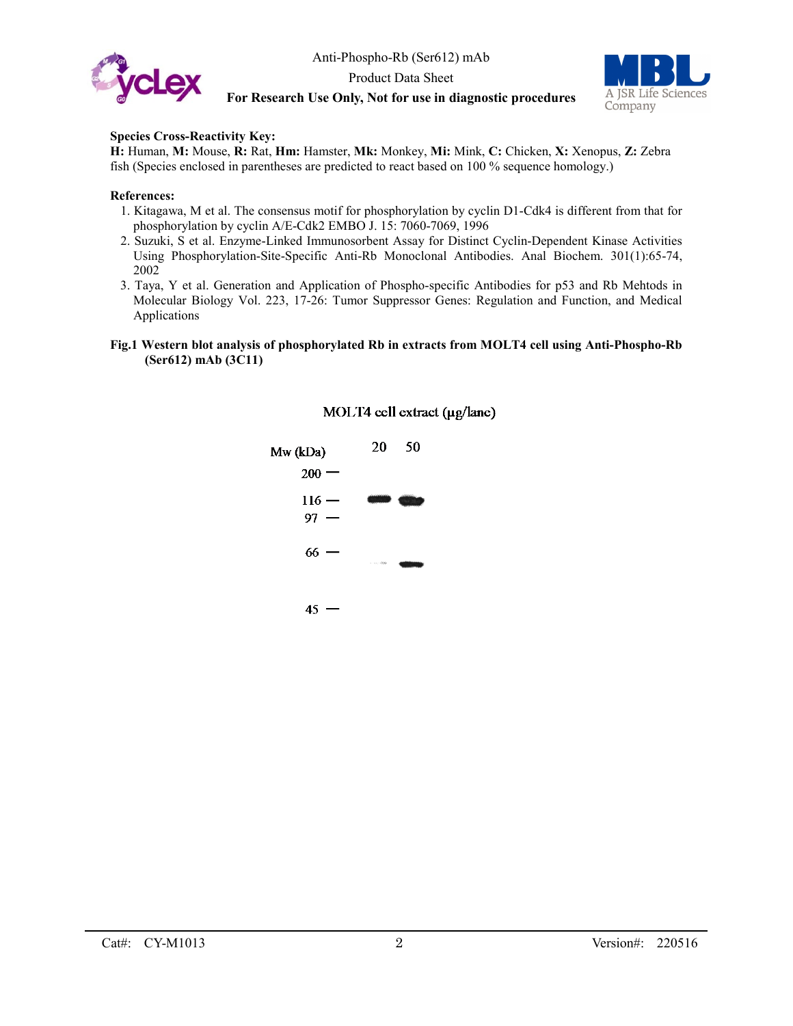



#### **Species Cross-Reactivity Key:**

**H:** Human, **M:** Mouse, **R:** Rat, **Hm:** Hamster, **Mk:** Monkey, **Mi:** Mink, **C:** Chicken, **X:** Xenopus, **Z:** Zebra fish (Species enclosed in parentheses are predicted to react based on 100 % sequence homology.)

#### **References:**

- 1. Kitagawa, M et al. The consensus motif for phosphorylation by cyclin D1-Cdk4 is different from that for phosphorylation by cyclin A/E-Cdk2 EMBO J. 15: 7060-7069, 1996
- 2. Suzuki, S et al. Enzyme-Linked Immunosorbent Assay for Distinct Cyclin-Dependent Kinase Activities Using Phosphorylation-Site-Specific Anti-Rb Monoclonal Antibodies. Anal Biochem. 301(1):65-74, 2002
- 3. Taya, Y et al. Generation and Application of Phospho-specific Antibodies for p53 and Rb Mehtods in Molecular Biology Vol. 223, 17-26: Tumor Suppressor Genes: Regulation and Function, and Medical Applications

#### **Fig.1 Western blot analysis of phosphorylated Rb in extracts from MOLT4 cell using Anti-Phospho-Rb (Ser612) mAb (3C11)**



#### MOLT4 cell extract (µg/lane)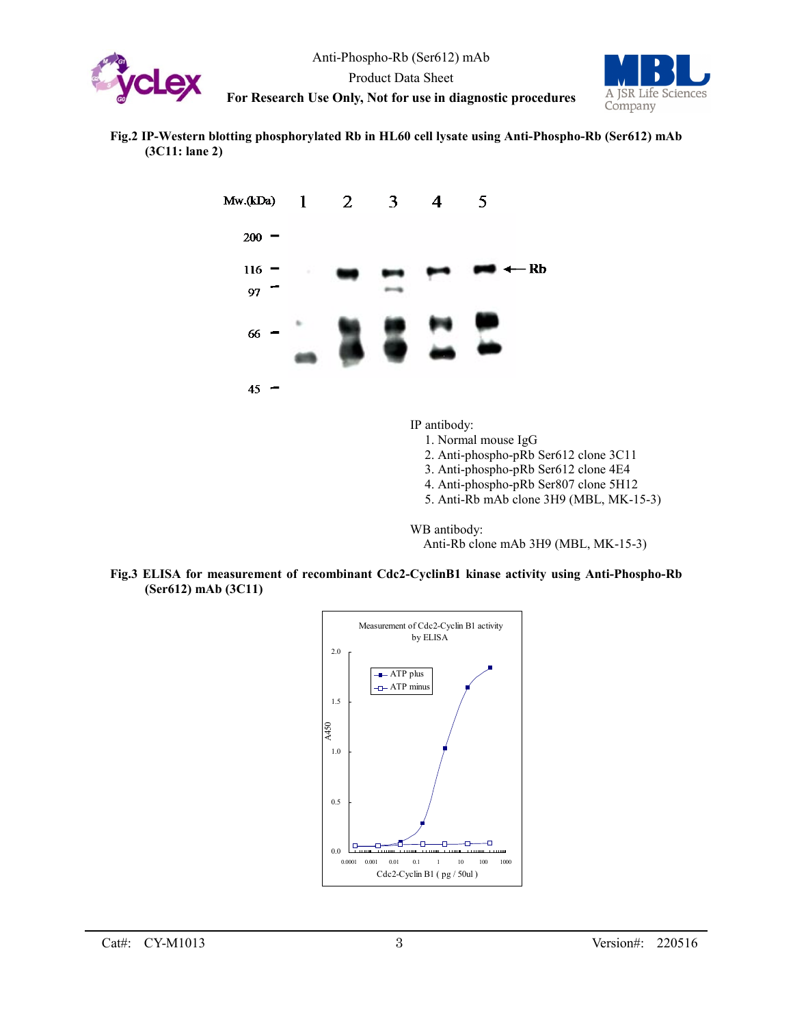



#### **Fig.2 IP-Western blotting phosphorylated Rb in HL60 cell lysate using Anti-Phospho-Rb (Ser612) mAb (3C11: lane 2)**



IP antibody:

- 1. Normal mouse IgG
- 2. Anti-phospho-pRb Ser612 clone 3C11
- 3. Anti-phospho-pRb Ser612 clone 4E4
- 4. Anti-phospho-pRb Ser807 clone 5H12
- 5. Anti-Rb mAb clone 3H9 (MBL, MK-15-3)

WB antibody:

Anti-Rb clone mAb 3H9 (MBL, MK-15-3)



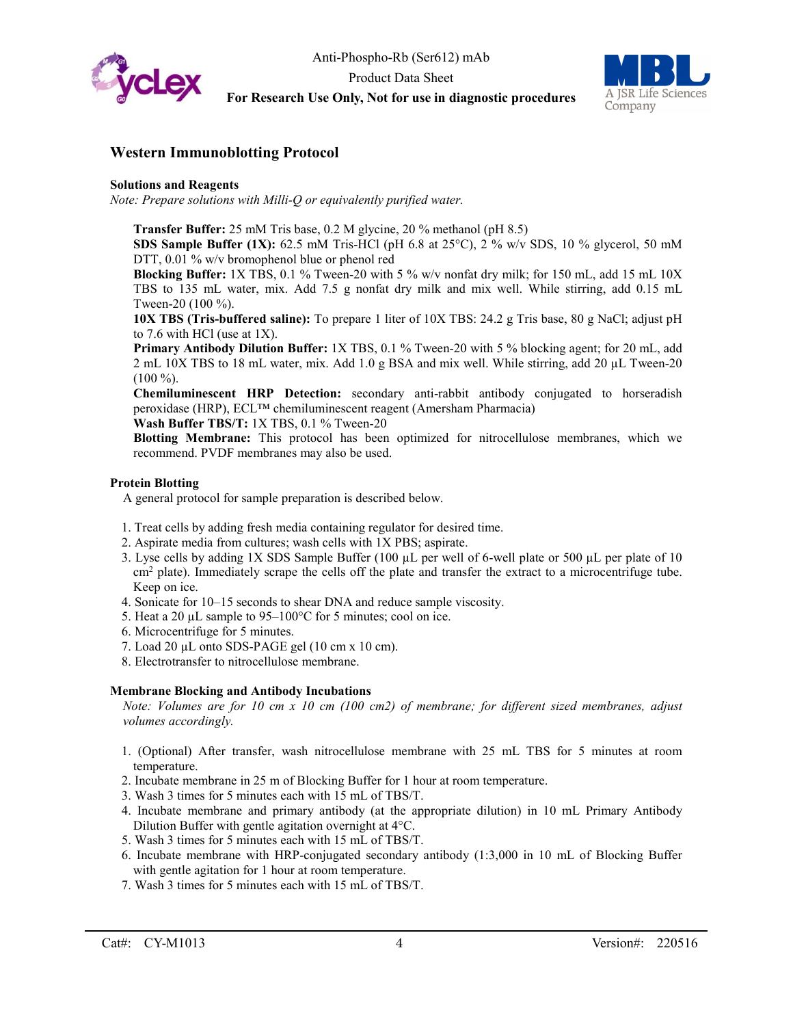

## Anti-Phospho-Rb (Ser612) mAb Product Data Sheet **For Research Use Only, Not for use in diagnostic procedures**



### **Western Immunoblotting Protocol**

#### **Solutions and Reagents**

*Note: Prepare solutions with Milli-Q or equivalently purified water.*

**Transfer Buffer:** 25 mM Tris base, 0.2 M glycine, 20 % methanol (pH 8.5)

**SDS Sample Buffer (1X):** 62.5 mM Tris-HCl (pH 6.8 at 25°C), 2 % w/v SDS, 10 % glycerol, 50 mM DTT, 0.01 % w/v bromophenol blue or phenol red

**Blocking Buffer:** 1X TBS, 0.1 % Tween-20 with 5 % w/v nonfat dry milk; for 150 mL, add 15 mL 10X TBS to 135 mL water, mix. Add 7.5 g nonfat dry milk and mix well. While stirring, add 0.15 mL Tween-20 (100 %).

**10X TBS (Tris-buffered saline):** To prepare 1 liter of 10X TBS: 24.2 g Tris base, 80 g NaCl; adjust pH to 7.6 with HCl (use at 1X).

**Primary Antibody Dilution Buffer:** 1X TBS, 0.1 % Tween-20 with 5 % blocking agent; for 20 mL, add 2 mL 10X TBS to 18 mL water, mix. Add 1.0 g BSA and mix well. While stirring, add 20 µL Tween-20  $(100\,\%).$ 

**Chemiluminescent HRP Detection:** secondary anti-rabbit antibody conjugated to horseradish peroxidase (HRP), ECL™ chemiluminescent reagent (Amersham Pharmacia)

**Wash Buffer TBS/T:** 1X TBS, 0.1 % Tween-20

**Blotting Membrane:** This protocol has been optimized for nitrocellulose membranes, which we recommend. PVDF membranes may also be used.

#### **Protein Blotting**

A general protocol for sample preparation is described below.

- 1. Treat cells by adding fresh media containing regulator for desired time.
- 2. Aspirate media from cultures; wash cells with 1X PBS; aspirate.
- 3. Lyse cells by adding 1X SDS Sample Buffer (100 µL per well of 6-well plate or 500 µL per plate of 10 cm<sup>2</sup> plate). Immediately scrape the cells off the plate and transfer the extract to a microcentrifuge tube. Keep on ice.
- 4. Sonicate for 10–15 seconds to shear DNA and reduce sample viscosity.
- 5. Heat a 20  $\mu$ L sample to 95–100°C for 5 minutes; cool on ice.
- 6. Microcentrifuge for 5 minutes.
- 7. Load 20 µL onto SDS-PAGE gel (10 cm x 10 cm).
- 8. Electrotransfer to nitrocellulose membrane.

#### **Membrane Blocking and Antibody Incubations**

*Note: Volumes are for 10 cm x 10 cm (100 cm2) of membrane; for different sized membranes, adjust volumes accordingly.*

- 1. (Optional) After transfer, wash nitrocellulose membrane with 25 mL TBS for 5 minutes at room temperature.
- 2. Incubate membrane in 25 m of Blocking Buffer for 1 hour at room temperature.
- 3. Wash 3 times for 5 minutes each with 15 mL of TBS/T.
- 4. Incubate membrane and primary antibody (at the appropriate dilution) in 10 mL Primary Antibody Dilution Buffer with gentle agitation overnight at 4°C.
- 5. Wash 3 times for 5 minutes each with 15 mL of TBS/T.
- 6. Incubate membrane with HRP-conjugated secondary antibody (1:3,000 in 10 mL of Blocking Buffer with gentle agitation for 1 hour at room temperature.
- 7. Wash 3 times for 5 minutes each with 15 mL of TBS/T.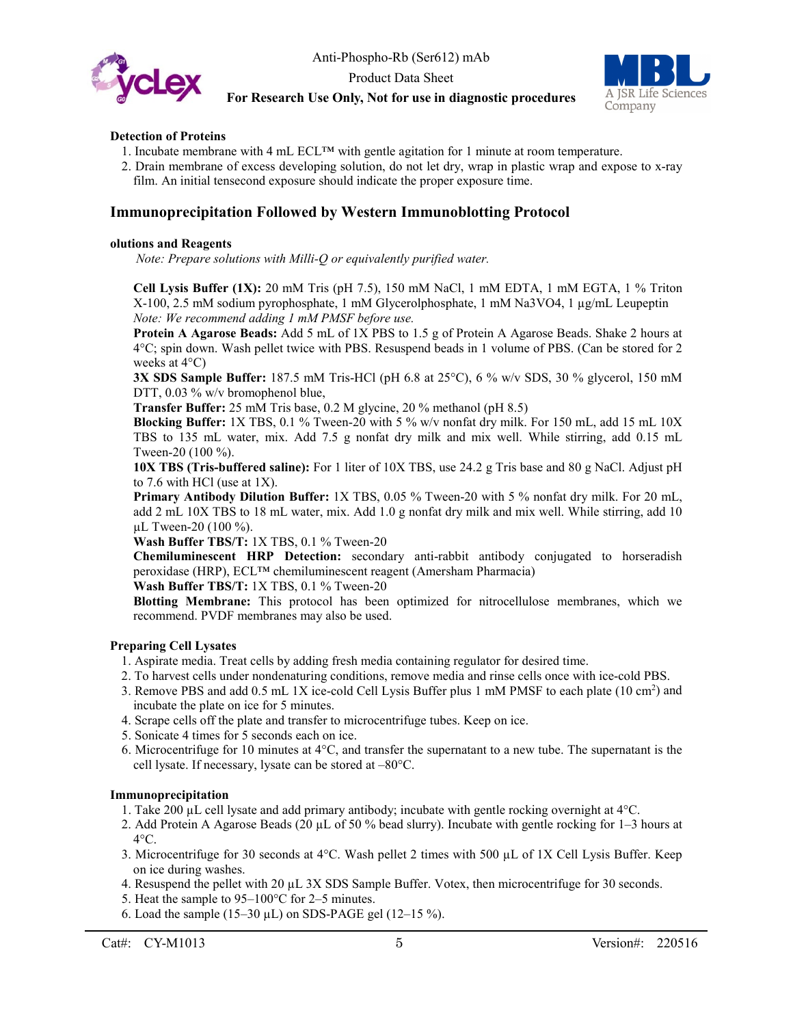



#### **Detection of Proteins**

- 1. Incubate membrane with 4 mL ECL™ with gentle agitation for 1 minute at room temperature.
- 2. Drain membrane of excess developing solution, do not let dry, wrap in plastic wrap and expose to x-ray film. An initial tensecond exposure should indicate the proper exposure time.

#### **Immunoprecipitation Followed by Western Immunoblotting Protocol**

#### **olutions and Reagents**

*Note: Prepare solutions with Milli-Q or equivalently purified water.*

**Cell Lysis Buffer (1X):** 20 mM Tris (pH 7.5), 150 mM NaCl, 1 mM EDTA, 1 mM EGTA, 1 % Triton X-100, 2.5 mM sodium pyrophosphate, 1 mM Glycerolphosphate, 1 mM Na3VO4, 1 µg/mL Leupeptin *Note: We recommend adding 1 mM PMSF before use.*

**Protein A Agarose Beads:** Add 5 mL of 1X PBS to 1.5 g of Protein A Agarose Beads. Shake 2 hours at 4°C; spin down. Wash pellet twice with PBS. Resuspend beads in 1 volume of PBS. (Can be stored for 2 weeks at 4°C)

**3X SDS Sample Buffer:** 187.5 mM Tris-HCl (pH 6.8 at 25°C), 6 % w/v SDS, 30 % glycerol, 150 mM DTT, 0.03 % w/v bromophenol blue,

**Transfer Buffer:** 25 mM Tris base, 0.2 M glycine, 20 % methanol (pH 8.5)

**Blocking Buffer:** 1X TBS, 0.1 % Tween-20 with 5 % w/v nonfat dry milk. For 150 mL, add 15 mL 10X TBS to 135 mL water, mix. Add 7.5 g nonfat dry milk and mix well. While stirring, add 0.15 mL Tween-20 (100 %).

**10X TBS (Tris-buffered saline):** For 1 liter of 10X TBS, use 24.2 g Tris base and 80 g NaCl. Adjust pH to 7.6 with HCl (use at 1X).

**Primary Antibody Dilution Buffer:** 1X TBS, 0.05 % Tween-20 with 5 % nonfat dry milk. For 20 mL, add 2 mL 10X TBS to 18 mL water, mix. Add 1.0 g nonfat dry milk and mix well. While stirring, add 10 µL Tween-20 (100 %).

**Wash Buffer TBS/T:** 1X TBS, 0.1 % Tween-20

**Chemiluminescent HRP Detection:** secondary anti-rabbit antibody conjugated to horseradish peroxidase (HRP), ECL™ chemiluminescent reagent (Amersham Pharmacia)

**Wash Buffer TBS/T:** 1X TBS, 0.1 % Tween-20

**Blotting Membrane:** This protocol has been optimized for nitrocellulose membranes, which we recommend. PVDF membranes may also be used.

#### **Preparing Cell Lysates**

- 1. Aspirate media. Treat cells by adding fresh media containing regulator for desired time.
- 2. To harvest cells under nondenaturing conditions, remove media and rinse cells once with ice-cold PBS.
- 3. Remove PBS and add 0.5 mL 1X ice-cold Cell Lysis Buffer plus 1 mM PMSF to each plate (10 cm<sup>2</sup>) and incubate the plate on ice for 5 minutes.
- 4. Scrape cells off the plate and transfer to microcentrifuge tubes. Keep on ice.
- 5. Sonicate 4 times for 5 seconds each on ice.
- 6. Microcentrifuge for 10 minutes at 4°C, and transfer the supernatant to a new tube. The supernatant is the cell lysate. If necessary, lysate can be stored at –80°C.

#### **Immunoprecipitation**

- 1. Take 200 µL cell lysate and add primary antibody; incubate with gentle rocking overnight at 4°C.
- 2. Add Protein A Agarose Beads (20 µL of 50 % bead slurry). Incubate with gentle rocking for 1–3 hours at  $4^{\circ}$ C.
- 3. Microcentrifuge for 30 seconds at 4°C. Wash pellet 2 times with 500 µL of 1X Cell Lysis Buffer. Keep on ice during washes.
- 4. Resuspend the pellet with 20 µL 3X SDS Sample Buffer. Votex, then microcentrifuge for 30 seconds.
- 5. Heat the sample to 95–100°C for 2–5 minutes.
- 6. Load the sample (15–30  $\mu$ L) on SDS-PAGE gel (12–15 %).